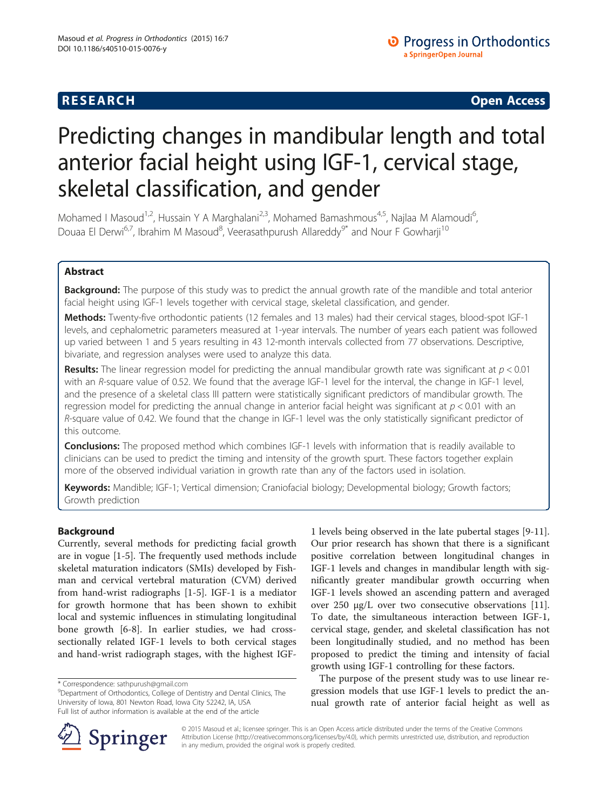**RESEARCH CHINESE ARCH CHINESE ARCH CHINESE ARCH <b>CHINESE ARCH** 

# Predicting changes in mandibular length and total anterior facial height using IGF-1, cervical stage, skeletal classification, and gender

Mohamed I Masoud<sup>1,2</sup>, Hussain Y A Marghalani<sup>2,3</sup>, Mohamed Bamashmous<sup>4,5</sup>, Najlaa M Alamoudi<sup>6</sup>, , Douaa El Derwi<sup>6,7</sup>, Ibrahim M Masoud<sup>8</sup>, Veerasathpurush Allareddy<sup>9\*</sup> and Nour F Gowharji<sup>10</sup>

# Abstract

Background: The purpose of this study was to predict the annual growth rate of the mandible and total anterior facial height using IGF-1 levels together with cervical stage, skeletal classification, and gender.

Methods: Twenty-five orthodontic patients (12 females and 13 males) had their cervical stages, blood-spot IGF-1 levels, and cephalometric parameters measured at 1-year intervals. The number of years each patient was followed up varied between 1 and 5 years resulting in 43 12-month intervals collected from 77 observations. Descriptive, bivariate, and regression analyses were used to analyze this data.

**Results:** The linear regression model for predicting the annual mandibular growth rate was significant at  $p < 0.01$ with an R-square value of 0.52. We found that the average IGF-1 level for the interval, the change in IGF-1 level, and the presence of a skeletal class III pattern were statistically significant predictors of mandibular growth. The regression model for predicting the annual change in anterior facial height was significant at  $p < 0.01$  with an R-square value of 0.42. We found that the change in IGF-1 level was the only statistically significant predictor of this outcome.

**Conclusions:** The proposed method which combines IGF-1 levels with information that is readily available to clinicians can be used to predict the timing and intensity of the growth spurt. These factors together explain more of the observed individual variation in growth rate than any of the factors used in isolation.

Keywords: Mandible; IGF-1; Vertical dimension; Craniofacial biology; Developmental biology; Growth factors; Growth prediction

# Background

Currently, several methods for predicting facial growth are in vogue [\[1](#page-5-0)-[5\]](#page-5-0). The frequently used methods include skeletal maturation indicators (SMIs) developed by Fishman and cervical vertebral maturation (CVM) derived from hand-wrist radiographs [[1-5](#page-5-0)]. IGF-1 is a mediator for growth hormone that has been shown to exhibit local and systemic influences in stimulating longitudinal bone growth [[6-8\]](#page-5-0). In earlier studies, we had crosssectionally related IGF-1 levels to both cervical stages and hand-wrist radiograph stages, with the highest IGF-

1 levels being observed in the late pubertal stages [[9-11](#page-5-0)]. Our prior research has shown that there is a significant positive correlation between longitudinal changes in IGF-1 levels and changes in mandibular length with significantly greater mandibular growth occurring when IGF-1 levels showed an ascending pattern and averaged over 250 μg/L over two consecutive observations [\[11](#page-5-0)]. To date, the simultaneous interaction between IGF-1, cervical stage, gender, and skeletal classification has not been longitudinally studied, and no method has been proposed to predict the timing and intensity of facial growth using IGF-1 controlling for these factors.

The purpose of the present study was to use linear regression models that use IGF-1 levels to predict the annual growth rate of anterior facial height as well as



© 2015 Masoud et al.; licensee springer. This is an Open Access article distributed under the terms of the Creative Commons Attribution License [\(http://creativecommons.org/licenses/by/4.0\)](http://creativecommons.org/licenses/by/4.0), which permits unrestricted use, distribution, and reproduction in any medium, provided the original work is properly credited.

<sup>\*</sup> Correspondence: [sathpurush@gmail.com](mailto:sathpurush@gmail.com) <sup>9</sup>

<sup>&</sup>lt;sup>9</sup>Department of Orthodontics, College of Dentistry and Dental Clinics, The University of Iowa, 801 Newton Road, Iowa City 52242, IA, USA Full list of author information is available at the end of the article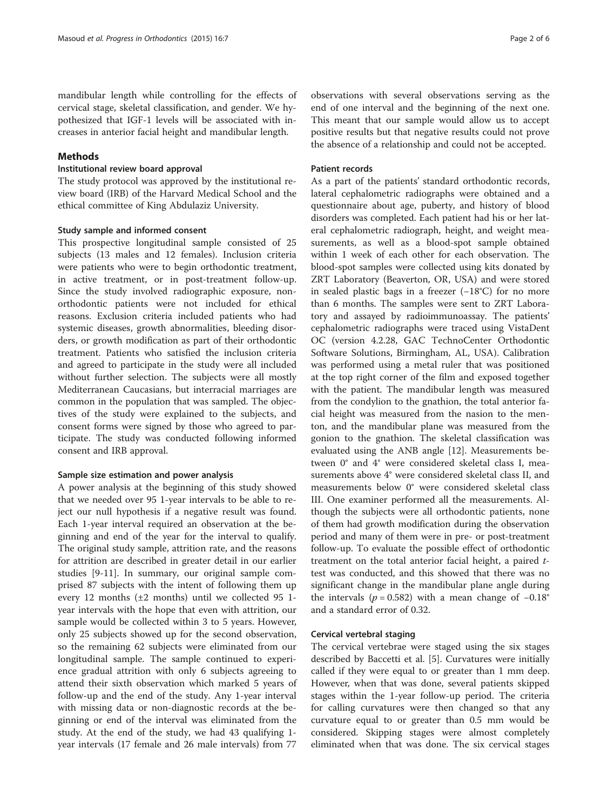mandibular length while controlling for the effects of cervical stage, skeletal classification, and gender. We hypothesized that IGF-1 levels will be associated with increases in anterior facial height and mandibular length.

## Methods

#### Institutional review board approval

The study protocol was approved by the institutional review board (IRB) of the Harvard Medical School and the ethical committee of King Abdulaziz University.

#### Study sample and informed consent

This prospective longitudinal sample consisted of 25 subjects (13 males and 12 females). Inclusion criteria were patients who were to begin orthodontic treatment, in active treatment, or in post-treatment follow-up. Since the study involved radiographic exposure, nonorthodontic patients were not included for ethical reasons. Exclusion criteria included patients who had systemic diseases, growth abnormalities, bleeding disorders, or growth modification as part of their orthodontic treatment. Patients who satisfied the inclusion criteria and agreed to participate in the study were all included without further selection. The subjects were all mostly Mediterranean Caucasians, but interracial marriages are common in the population that was sampled. The objectives of the study were explained to the subjects, and consent forms were signed by those who agreed to participate. The study was conducted following informed consent and IRB approval.

#### Sample size estimation and power analysis

A power analysis at the beginning of this study showed that we needed over 95 1-year intervals to be able to reject our null hypothesis if a negative result was found. Each 1-year interval required an observation at the beginning and end of the year for the interval to qualify. The original study sample, attrition rate, and the reasons for attrition are described in greater detail in our earlier studies [\[9-11](#page-5-0)]. In summary, our original sample comprised 87 subjects with the intent of following them up every 12 months  $(\pm 2 \text{ months})$  until we collected 95 1year intervals with the hope that even with attrition, our sample would be collected within 3 to 5 years. However, only 25 subjects showed up for the second observation, so the remaining 62 subjects were eliminated from our longitudinal sample. The sample continued to experience gradual attrition with only 6 subjects agreeing to attend their sixth observation which marked 5 years of follow-up and the end of the study. Any 1-year interval with missing data or non-diagnostic records at the beginning or end of the interval was eliminated from the study. At the end of the study, we had 43 qualifying 1 year intervals (17 female and 26 male intervals) from 77 observations with several observations serving as the end of one interval and the beginning of the next one. This meant that our sample would allow us to accept positive results but that negative results could not prove the absence of a relationship and could not be accepted.

#### Patient records

As a part of the patients' standard orthodontic records, lateral cephalometric radiographs were obtained and a questionnaire about age, puberty, and history of blood disorders was completed. Each patient had his or her lateral cephalometric radiograph, height, and weight measurements, as well as a blood-spot sample obtained within 1 week of each other for each observation. The blood-spot samples were collected using kits donated by ZRT Laboratory (Beaverton, OR, USA) and were stored in sealed plastic bags in a freezer (−18°C) for no more than 6 months. The samples were sent to ZRT Laboratory and assayed by radioimmunoassay. The patients' cephalometric radiographs were traced using VistaDent OC (version 4.2.28, GAC TechnoCenter Orthodontic Software Solutions, Birmingham, AL, USA). Calibration was performed using a metal ruler that was positioned at the top right corner of the film and exposed together with the patient. The mandibular length was measured from the condylion to the gnathion, the total anterior facial height was measured from the nasion to the menton, and the mandibular plane was measured from the gonion to the gnathion. The skeletal classification was evaluated using the ANB angle [\[12](#page-5-0)]. Measurements between 0° and 4° were considered skeletal class I, measurements above 4° were considered skeletal class II, and measurements below 0° were considered skeletal class III. One examiner performed all the measurements. Although the subjects were all orthodontic patients, none of them had growth modification during the observation period and many of them were in pre- or post-treatment follow-up. To evaluate the possible effect of orthodontic treatment on the total anterior facial height, a paired ttest was conducted, and this showed that there was no significant change in the mandibular plane angle during the intervals ( $p = 0.582$ ) with a mean change of  $-0.18^\circ$ and a standard error of 0.32.

#### Cervical vertebral staging

The cervical vertebrae were staged using the six stages described by Baccetti et al. [[5\]](#page-5-0). Curvatures were initially called if they were equal to or greater than 1 mm deep. However, when that was done, several patients skipped stages within the 1-year follow-up period. The criteria for calling curvatures were then changed so that any curvature equal to or greater than 0.5 mm would be considered. Skipping stages were almost completely eliminated when that was done. The six cervical stages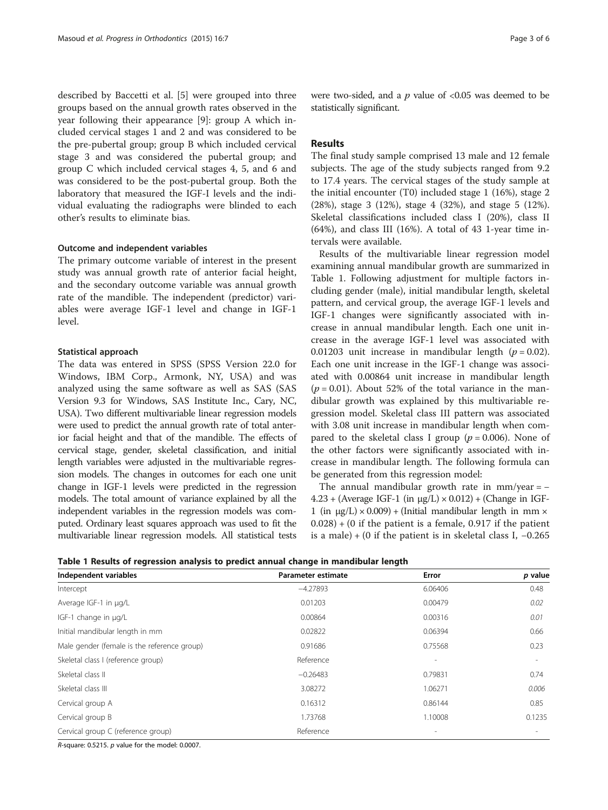described by Baccetti et al. [[5\]](#page-5-0) were grouped into three groups based on the annual growth rates observed in the year following their appearance [\[9](#page-5-0)]: group A which included cervical stages 1 and 2 and was considered to be the pre-pubertal group; group B which included cervical stage 3 and was considered the pubertal group; and group C which included cervical stages 4, 5, and 6 and was considered to be the post-pubertal group. Both the laboratory that measured the IGF-I levels and the individual evaluating the radiographs were blinded to each other's results to eliminate bias.

## Outcome and independent variables

The primary outcome variable of interest in the present study was annual growth rate of anterior facial height, and the secondary outcome variable was annual growth rate of the mandible. The independent (predictor) variables were average IGF-1 level and change in IGF-1 level.

## Statistical approach

The data was entered in SPSS (SPSS Version 22.0 for Windows, IBM Corp., Armonk, NY, USA) and was analyzed using the same software as well as SAS (SAS Version 9.3 for Windows, SAS Institute Inc., Cary, NC, USA). Two different multivariable linear regression models were used to predict the annual growth rate of total anterior facial height and that of the mandible. The effects of cervical stage, gender, skeletal classification, and initial length variables were adjusted in the multivariable regression models. The changes in outcomes for each one unit change in IGF-1 levels were predicted in the regression models. The total amount of variance explained by all the independent variables in the regression models was computed. Ordinary least squares approach was used to fit the multivariable linear regression models. All statistical tests

were two-sided, and a  $p$  value of <0.05 was deemed to be statistically significant.

# Results

The final study sample comprised 13 male and 12 female subjects. The age of the study subjects ranged from 9.2 to 17.4 years. The cervical stages of the study sample at the initial encounter (T0) included stage 1 (16%), stage 2 (28%), stage 3 (12%), stage 4 (32%), and stage 5 (12%). Skeletal classifications included class I (20%), class II (64%), and class III (16%). A total of 43 1-year time intervals were available.

Results of the multivariable linear regression model examining annual mandibular growth are summarized in Table 1. Following adjustment for multiple factors including gender (male), initial mandibular length, skeletal pattern, and cervical group, the average IGF-1 levels and IGF-1 changes were significantly associated with increase in annual mandibular length. Each one unit increase in the average IGF-1 level was associated with 0.01203 unit increase in mandibular length  $(p = 0.02)$ . Each one unit increase in the IGF-1 change was associated with 0.00864 unit increase in mandibular length  $(p = 0.01)$ . About 52% of the total variance in the mandibular growth was explained by this multivariable regression model. Skeletal class III pattern was associated with 3.08 unit increase in mandibular length when compared to the skeletal class I group ( $p = 0.006$ ). None of the other factors were significantly associated with increase in mandibular length. The following formula can be generated from this regression model:

The annual mandibular growth rate in  $mm/year = 4.23 +$  (Average IGF-1 (in  $\mu$ g/L)  $\times$  0.012) + (Change in IGF-1 (in  $\mu$ g/L) × 0.009) + (Initial mandibular length in mm ×  $(0.028) + (0$  if the patient is a female, 0.917 if the patient is a male) + (0 if the patient is in skeletal class I,  $-0.265$ 

| Table 1 Results of regression analysis to predict annual change in mandibular length |  |  |  |  |  |  |
|--------------------------------------------------------------------------------------|--|--|--|--|--|--|
|--------------------------------------------------------------------------------------|--|--|--|--|--|--|

| Independent variables                       | Parameter estimate | Error   | p value |
|---------------------------------------------|--------------------|---------|---------|
| Intercept                                   | $-4.27893$         | 6.06406 | 0.48    |
| Average IGF-1 in µg/L                       | 0.01203            | 0.00479 | 0.02    |
| IGF-1 change in µg/L                        | 0.00864            | 0.00316 | 0.01    |
| Initial mandibular length in mm             | 0.02822            | 0.06394 | 0.66    |
| Male gender (female is the reference group) | 0.91686            | 0.75568 | 0.23    |
| Skeletal class I (reference group)          | Reference          | $\sim$  |         |
| Skeletal class II                           | $-0.26483$         | 0.79831 | 0.74    |
| Skeletal class III                          | 3.08272            | 1.06271 | 0.006   |
| Cervical group A                            | 0.16312            | 0.86144 | 0.85    |
| Cervical group B                            | 1.73768            | 1.10008 | 0.1235  |
| Cervical group C (reference group)          | Reference          |         |         |

R-square: 0.5215. p value for the model: 0.0007.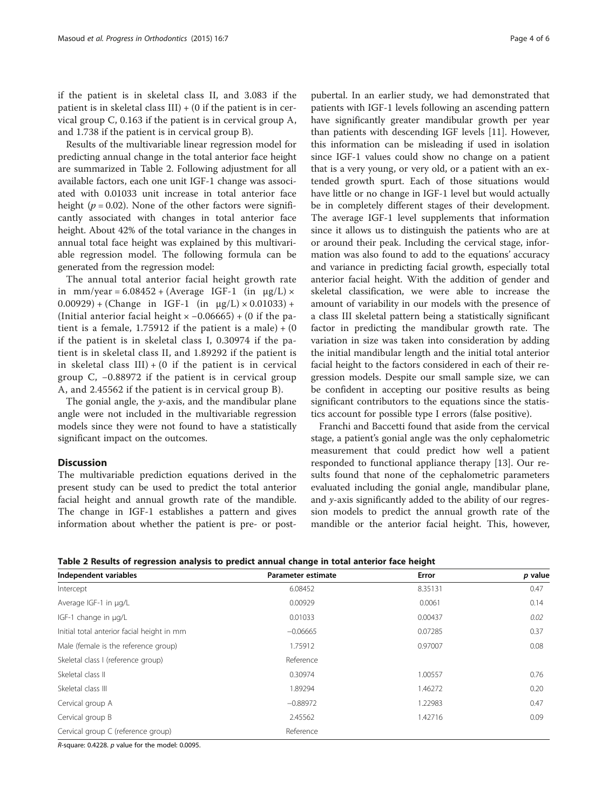if the patient is in skeletal class II, and 3.083 if the patient is in skeletal class  $III$ ) + (0 if the patient is in cervical group C, 0.163 if the patient is in cervical group A, and 1.738 if the patient is in cervical group B).

Results of the multivariable linear regression model for predicting annual change in the total anterior face height are summarized in Table 2. Following adjustment for all available factors, each one unit IGF-1 change was associated with 0.01033 unit increase in total anterior face height ( $p = 0.02$ ). None of the other factors were significantly associated with changes in total anterior face height. About 42% of the total variance in the changes in annual total face height was explained by this multivariable regression model. The following formula can be generated from the regression model:

The annual total anterior facial height growth rate in mm/year =  $6.08452 + (Average IGF-1 (in µg/L) \times )$  $(0.00929) + (Change in IGF-1 (in µg/L) \times 0.01033) +$ (Initial anterior facial height × −0.06665) + (0 if the patient is a female, 1.75912 if the patient is a male)  $+ (0)$ if the patient is in skeletal class I, 0.30974 if the patient is in skeletal class II, and 1.89292 if the patient is in skeletal class  $III$ ) + (0 if the patient is in cervical group C, −0.88972 if the patient is in cervical group A, and 2.45562 if the patient is in cervical group B).

The gonial angle, the  $y$ -axis, and the mandibular plane angle were not included in the multivariable regression models since they were not found to have a statistically significant impact on the outcomes.

#### Discussion

The multivariable prediction equations derived in the present study can be used to predict the total anterior facial height and annual growth rate of the mandible. The change in IGF-1 establishes a pattern and gives information about whether the patient is pre- or post-

pubertal. In an earlier study, we had demonstrated that patients with IGF-1 levels following an ascending pattern have significantly greater mandibular growth per year than patients with descending IGF levels [[11\]](#page-5-0). However, this information can be misleading if used in isolation since IGF-1 values could show no change on a patient that is a very young, or very old, or a patient with an extended growth spurt. Each of those situations would have little or no change in IGF-1 level but would actually be in completely different stages of their development. The average IGF-1 level supplements that information since it allows us to distinguish the patients who are at or around their peak. Including the cervical stage, information was also found to add to the equations' accuracy and variance in predicting facial growth, especially total anterior facial height. With the addition of gender and skeletal classification, we were able to increase the amount of variability in our models with the presence of a class III skeletal pattern being a statistically significant factor in predicting the mandibular growth rate. The variation in size was taken into consideration by adding the initial mandibular length and the initial total anterior facial height to the factors considered in each of their regression models. Despite our small sample size, we can be confident in accepting our positive results as being significant contributors to the equations since the statistics account for possible type I errors (false positive).

Franchi and Baccetti found that aside from the cervical stage, a patient's gonial angle was the only cephalometric measurement that could predict how well a patient responded to functional appliance therapy [[13](#page-5-0)]. Our results found that none of the cephalometric parameters evaluated including the gonial angle, mandibular plane, and  $y$ -axis significantly added to the ability of our regression models to predict the annual growth rate of the mandible or the anterior facial height. This, however,

| Table 2 Results of regression analysis to predict annual change in total anterior face height |  |  |  |
|-----------------------------------------------------------------------------------------------|--|--|--|
|                                                                                               |  |  |  |

| Independent variables                      | Parameter estimate | Error   | p value |
|--------------------------------------------|--------------------|---------|---------|
| Intercept                                  | 6.08452            | 8.35131 | 0.47    |
| Average IGF-1 in µg/L                      | 0.00929            | 0.0061  | 0.14    |
| IGF-1 change in µg/L                       | 0.01033            | 0.00437 | 0.02    |
| Initial total anterior facial height in mm | $-0.06665$         | 0.07285 | 0.37    |
| Male (female is the reference group)       | 1.75912            | 0.97007 | 0.08    |
| Skeletal class I (reference group)         | Reference          |         |         |
| Skeletal class II                          | 0.30974            | 1.00557 | 0.76    |
| Skeletal class III                         | 1.89294            | 1.46272 | 0.20    |
| Cervical group A                           | $-0.88972$         | 1.22983 | 0.47    |
| Cervical group B                           | 2.45562            | 1.42716 | 0.09    |
| Cervical group C (reference group)         | Reference          |         |         |

R-square: 0.4228. p value for the model: 0.0095.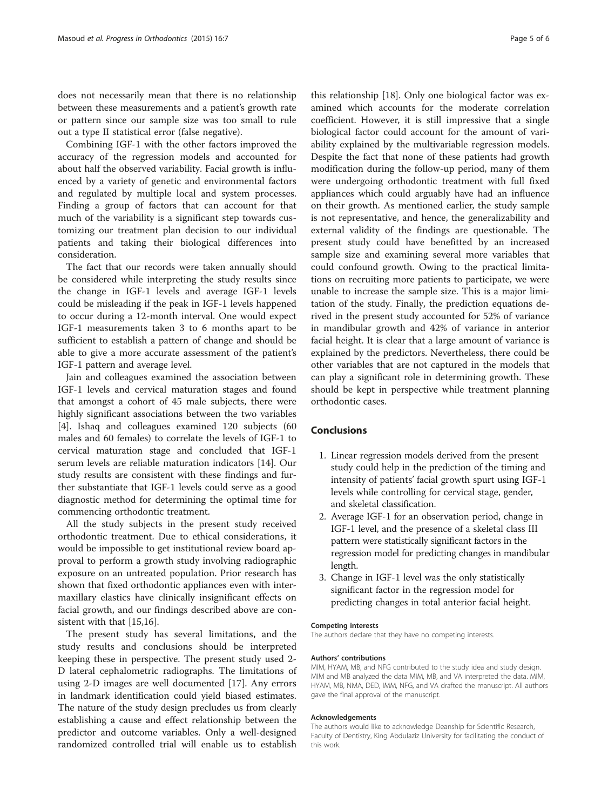does not necessarily mean that there is no relationship between these measurements and a patient's growth rate or pattern since our sample size was too small to rule out a type II statistical error (false negative).

Combining IGF-1 with the other factors improved the accuracy of the regression models and accounted for about half the observed variability. Facial growth is influenced by a variety of genetic and environmental factors and regulated by multiple local and system processes. Finding a group of factors that can account for that much of the variability is a significant step towards customizing our treatment plan decision to our individual patients and taking their biological differences into consideration.

The fact that our records were taken annually should be considered while interpreting the study results since the change in IGF-1 levels and average IGF-1 levels could be misleading if the peak in IGF-1 levels happened to occur during a 12-month interval. One would expect IGF-1 measurements taken 3 to 6 months apart to be sufficient to establish a pattern of change and should be able to give a more accurate assessment of the patient's IGF-1 pattern and average level.

Jain and colleagues examined the association between IGF-1 levels and cervical maturation stages and found that amongst a cohort of 45 male subjects, there were highly significant associations between the two variables [[4\]](#page-5-0). Ishaq and colleagues examined 120 subjects (60 males and 60 females) to correlate the levels of IGF-1 to cervical maturation stage and concluded that IGF-1 serum levels are reliable maturation indicators [\[14](#page-5-0)]. Our study results are consistent with these findings and further substantiate that IGF-1 levels could serve as a good diagnostic method for determining the optimal time for commencing orthodontic treatment.

All the study subjects in the present study received orthodontic treatment. Due to ethical considerations, it would be impossible to get institutional review board approval to perform a growth study involving radiographic exposure on an untreated population. Prior research has shown that fixed orthodontic appliances even with intermaxillary elastics have clinically insignificant effects on facial growth, and our findings described above are consistent with that  $|15,16|$ .

The present study has several limitations, and the study results and conclusions should be interpreted keeping these in perspective. The present study used 2- D lateral cephalometric radiographs. The limitations of using 2-D images are well documented [[17\]](#page-5-0). Any errors in landmark identification could yield biased estimates. The nature of the study design precludes us from clearly establishing a cause and effect relationship between the predictor and outcome variables. Only a well-designed randomized controlled trial will enable us to establish

this relationship [[18](#page-5-0)]. Only one biological factor was examined which accounts for the moderate correlation coefficient. However, it is still impressive that a single biological factor could account for the amount of variability explained by the multivariable regression models. Despite the fact that none of these patients had growth modification during the follow-up period, many of them were undergoing orthodontic treatment with full fixed appliances which could arguably have had an influence on their growth. As mentioned earlier, the study sample is not representative, and hence, the generalizability and external validity of the findings are questionable. The present study could have benefitted by an increased sample size and examining several more variables that could confound growth. Owing to the practical limitations on recruiting more patients to participate, we were unable to increase the sample size. This is a major limitation of the study. Finally, the prediction equations derived in the present study accounted for 52% of variance in mandibular growth and 42% of variance in anterior facial height. It is clear that a large amount of variance is explained by the predictors. Nevertheless, there could be other variables that are not captured in the models that can play a significant role in determining growth. These should be kept in perspective while treatment planning orthodontic cases.

# Conclusions

- 1. Linear regression models derived from the present study could help in the prediction of the timing and intensity of patients' facial growth spurt using IGF-1 levels while controlling for cervical stage, gender, and skeletal classification.
- 2. Average IGF-1 for an observation period, change in IGF-1 level, and the presence of a skeletal class III pattern were statistically significant factors in the regression model for predicting changes in mandibular length.
- 3. Change in IGF-1 level was the only statistically significant factor in the regression model for predicting changes in total anterior facial height.

#### Competing interests

The authors declare that they have no competing interests.

#### Authors' contributions

MIM, HYAM, MB, and NFG contributed to the study idea and study design. MIM and MB analyzed the data MIM, MB, and VA interpreted the data. MIM, HYAM, MB, NMA, DED, IMM, NFG, and VA drafted the manuscript. All authors gave the final approval of the manuscript.

#### Acknowledgements

The authors would like to acknowledge Deanship for Scientific Research, Faculty of Dentistry, King Abdulaziz University for facilitating the conduct of this work.